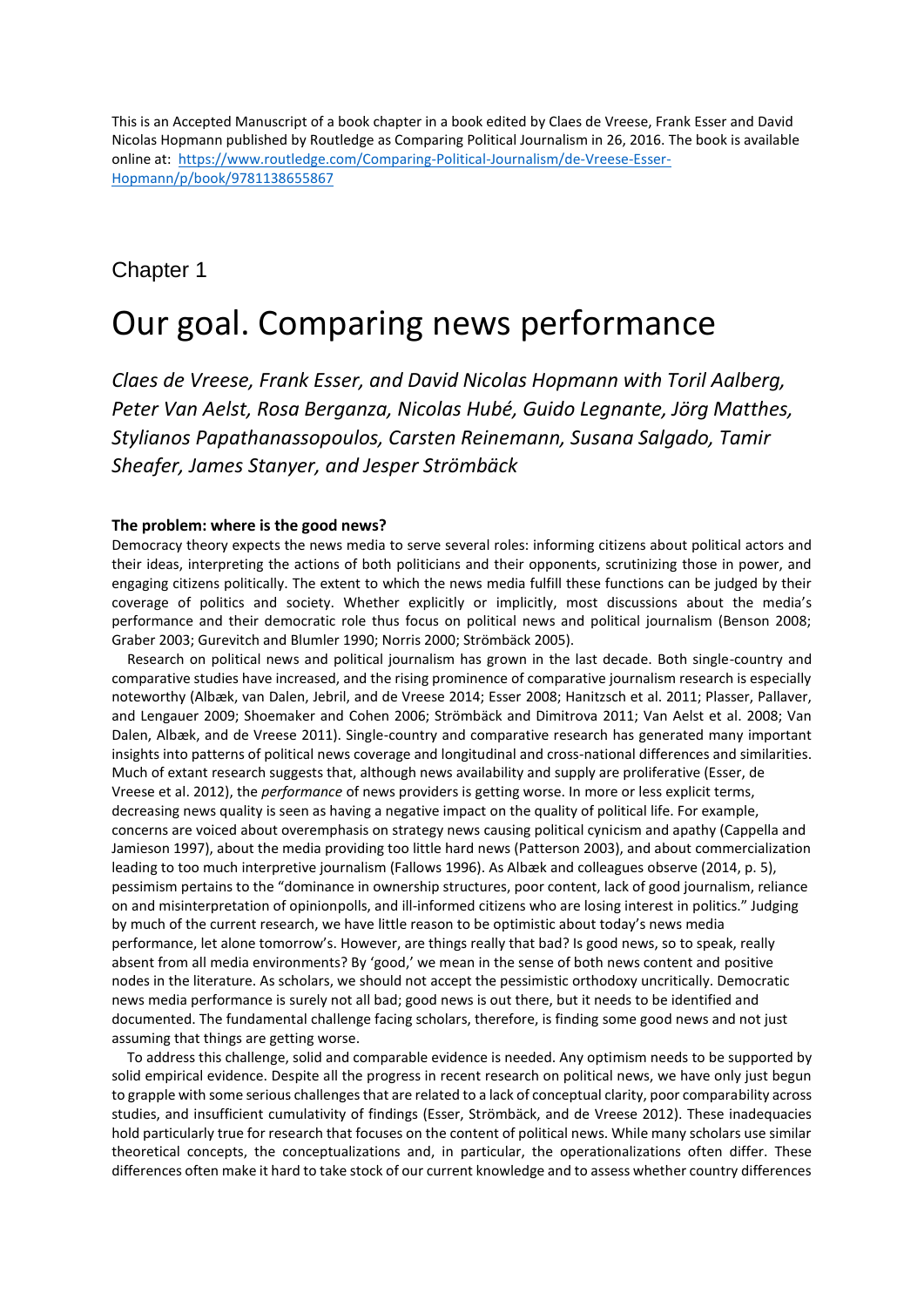This is an Accepted Manuscript of a book chapter in a book edited by Claes de Vreese, Frank Esser and David Nicolas Hopmann published by Routledge as Comparing Political Journalism in 26, 2016. The book is available online at: [https://www.routledge.com/Comparing-Political-Journalism/de-Vreese-Esser-](https://www.routledge.com/Comparing-Political-Journalism/de-Vreese-Esser-Hopmann/p/book/9781138655867)[Hopmann/p/book/9781138655867](https://www.routledge.com/Comparing-Political-Journalism/de-Vreese-Esser-Hopmann/p/book/9781138655867)

## Chapter 1

# Our goal. Comparing news performance

*Claes de Vreese, Frank Esser, and David Nicolas Hopmann with Toril Aalberg, Peter Van Aelst, Rosa Berganza, Nicolas Hubé, Guido Legnante, Jörg Matthes, Stylianos Papathanassopoulos, Carsten Reinemann, Susana Salgado, Tamir Sheafer, James Stanyer, and Jesper Strömbäck*

### **The problem: where is the good news?**

Democracy theory expects the news media to serve several roles: informing citizens about political actors and their ideas, interpreting the actions of both politicians and their opponents, scrutinizing those in power, and engaging citizens politically. The extent to which the news media fulfill these functions can be judged by their coverage of politics and society. Whether explicitly or implicitly, most discussions about the media's performance and their democratic role thus focus on political news and political journalism (Benson 2008; Graber 2003; Gurevitch and Blumler 1990; Norris 2000; Strömbäck 2005).

Research on political news and political journalism has grown in the last decade. Both single-country and comparative studies have increased, and the rising prominence of comparative journalism research is especially noteworthy (Albæk, van Dalen, Jebril, and de Vreese 2014; Esser 2008; Hanitzsch et al. 2011; Plasser, Pallaver, and Lengauer 2009; Shoemaker and Cohen 2006; Strömbäck and Dimitrova 2011; Van Aelst et al. 2008; Van Dalen, Albæk, and de Vreese 2011). Single-country and comparative research has generated many important insights into patterns of political news coverage and longitudinal and cross-national differences and similarities. Much of extant research suggests that, although news availability and supply are proliferative (Esser, de Vreese et al. 2012), the *performance* of news providers is getting worse. In more or less explicit terms, decreasing news quality is seen as having a negative impact on the quality of political life. For example, concerns are voiced about overemphasis on strategy news causing political cynicism and apathy (Cappella and Jamieson 1997), about the media providing too little hard news (Patterson 2003), and about commercialization leading to too much interpretive journalism (Fallows 1996). As Albæk and colleagues observe (2014, p. 5), pessimism pertains to the "dominance in ownership structures, poor content, lack of good journalism, reliance on and misinterpretation of opinionpolls, and ill-informed citizens who are losing interest in politics." Judging by much of the current research, we have little reason to be optimistic about today's news media performance, let alone tomorrow's. However, are things really that bad? Is good news, so to speak, really absent from all media environments? By 'good,' we mean in the sense of both news content and positive nodes in the literature. As scholars, we should not accept the pessimistic orthodoxy uncritically. Democratic news media performance is surely not all bad; good news is out there, but it needs to be identified and documented. The fundamental challenge facing scholars, therefore, is finding some good news and not just assuming that things are getting worse.

To address this challenge, solid and comparable evidence is needed. Any optimism needs to be supported by solid empirical evidence. Despite all the progress in recent research on political news, we have only just begun to grapple with some serious challenges that are related to a lack of conceptual clarity, poor comparability across studies, and insufficient cumulativity of findings (Esser, Strömbäck, and de Vreese 2012). These inadequacies hold particularly true for research that focuses on the content of political news. While many scholars use similar theoretical concepts, the conceptualizations and, in particular, the operationalizations often differ. These differences often make it hard to take stock of our current knowledge and to assess whether country differences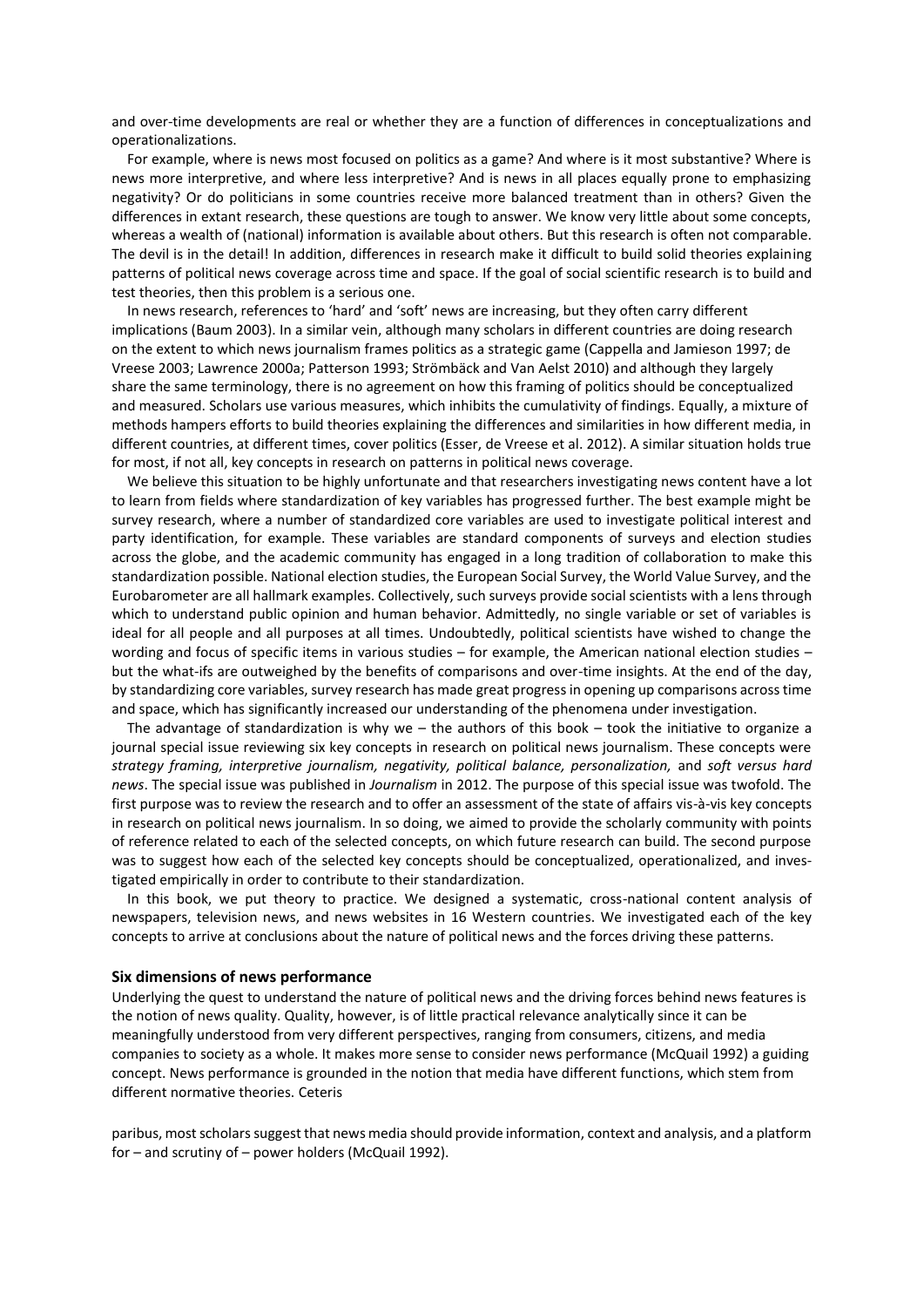and over-time developments are real or whether they are a function of differences in conceptualizations and operationalizations.

For example, where is news most focused on politics as a game? And where is it most substantive? Where is news more interpretive, and where less interpretive? And is news in all places equally prone to emphasizing negativity? Or do politicians in some countries receive more balanced treatment than in others? Given the differences in extant research, these questions are tough to answer. We know very little about some concepts, whereas a wealth of (national) information is available about others. But this research is often not comparable. The devil is in the detail! In addition, differences in research make it difficult to build solid theories explaining patterns of political news coverage across time and space. If the goal of social scientific research is to build and test theories, then this problem is a serious one.

In news research, references to 'hard' and 'soft' news are increasing, but they often carry different implications (Baum 2003). In a similar vein, although many scholars in different countries are doing research on the extent to which news journalism frames politics as a strategic game (Cappella and Jamieson 1997; de Vreese 2003; Lawrence 2000a; Patterson 1993; Strömbäck and Van Aelst 2010) and although they largely share the same terminology, there is no agreement on how this framing of politics should be conceptualized and measured. Scholars use various measures, which inhibits the cumulativity of findings. Equally, a mixture of methods hampers efforts to build theories explaining the differences and similarities in how different media, in different countries, at different times, cover politics (Esser, de Vreese et al. 2012). A similar situation holds true for most, if not all, key concepts in research on patterns in political news coverage.

We believe this situation to be highly unfortunate and that researchers investigating news content have a lot to learn from fields where standardization of key variables has progressed further. The best example might be survey research, where a number of standardized core variables are used to investigate political interest and party identification, for example. These variables are standard components of surveys and election studies across the globe, and the academic community has engaged in a long tradition of collaboration to make this standardization possible. National election studies, the European Social Survey, the World Value Survey, and the Eurobarometer are all hallmark examples. Collectively, such surveys provide social scientists with a lens through which to understand public opinion and human behavior. Admittedly, no single variable or set of variables is ideal for all people and all purposes at all times. Undoubtedly, political scientists have wished to change the wording and focus of specific items in various studies – for example, the American national election studies – but the what-ifs are outweighed by the benefits of comparisons and over-time insights. At the end of the day, by standardizing core variables, survey research has made great progress in opening up comparisons across time and space, which has significantly increased our understanding of the phenomena under investigation.

The advantage of standardization is why we – the authors of this book – took the initiative to organize a journal special issue reviewing six key concepts in research on political news journalism. These concepts were *strategy framing, interpretive journalism, negativity, political balance, personalization,* and *soft versus hard news*. The special issue was published in *Journalism* in 2012. The purpose of this special issue was twofold. The first purpose was to review the research and to offer an assessment of the state of affairs vis-à-vis key concepts in research on political news journalism. In so doing, we aimed to provide the scholarly community with points of reference related to each of the selected concepts, on which future research can build. The second purpose was to suggest how each of the selected key concepts should be conceptualized, operationalized, and investigated empirically in order to contribute to their standardization.

In this book, we put theory to practice. We designed a systematic, cross-national content analysis of newspapers, television news, and news websites in 16 Western countries. We investigated each of the key concepts to arrive at conclusions about the nature of political news and the forces driving these patterns.

#### **Six dimensions of news performance**

Underlying the quest to understand the nature of political news and the driving forces behind news features is the notion of news quality. Quality, however, is of little practical relevance analytically since it can be meaningfully understood from very different perspectives, ranging from consumers, citizens, and media companies to society as a whole. It makes more sense to consider news performance (McQuail 1992) a guiding concept. News performance is grounded in the notion that media have different functions, which stem from different normative theories. Ceteris

paribus, most scholars suggest that news media should provide information, context and analysis, and a platform for – and scrutiny of – power holders (McQuail 1992).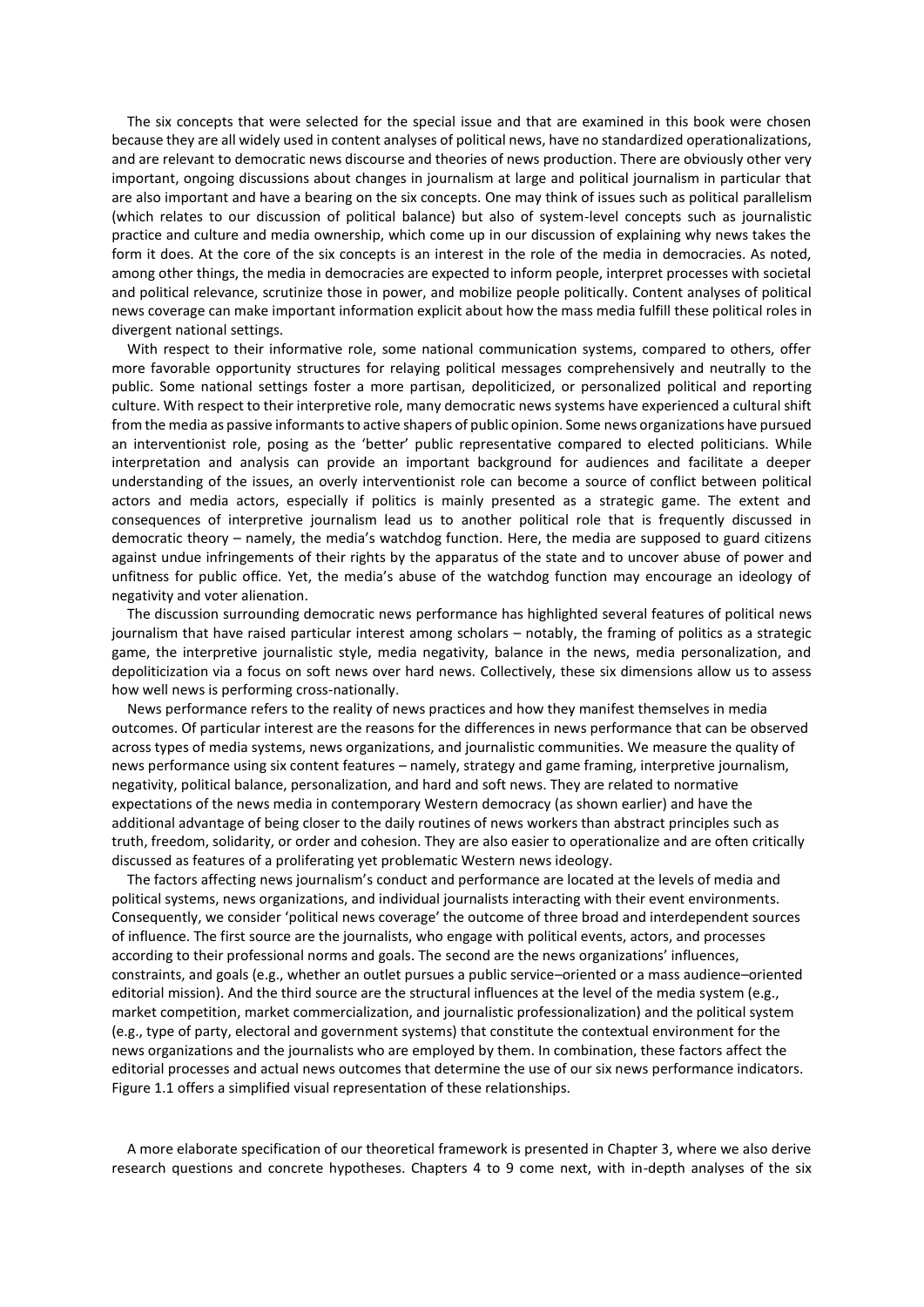The six concepts that were selected for the special issue and that are examined in this book were chosen because they are all widely used in content analyses of political news, have no standardized operationalizations, and are relevant to democratic news discourse and theories of news production. There are obviously other very important, ongoing discussions about changes in journalism at large and political journalism in particular that are also important and have a bearing on the six concepts. One may think of issues such as political parallelism (which relates to our discussion of political balance) but also of system-level concepts such as journalistic practice and culture and media ownership, which come up in our discussion of explaining why news takes the form it does. At the core of the six concepts is an interest in the role of the media in democracies. As noted, among other things, the media in democracies are expected to inform people, interpret processes with societal and political relevance, scrutinize those in power, and mobilize people politically. Content analyses of political news coverage can make important information explicit about how the mass media fulfill these political roles in divergent national settings.

With respect to their informative role, some national communication systems, compared to others, offer more favorable opportunity structures for relaying political messages comprehensively and neutrally to the public. Some national settings foster a more partisan, depoliticized, or personalized political and reporting culture. With respect to their interpretive role, many democratic news systems have experienced a cultural shift from the media as passive informants to active shapers of public opinion. Some news organizations have pursued an interventionist role, posing as the 'better' public representative compared to elected politicians. While interpretation and analysis can provide an important background for audiences and facilitate a deeper understanding of the issues, an overly interventionist role can become a source of conflict between political actors and media actors, especially if politics is mainly presented as a strategic game. The extent and consequences of interpretive journalism lead us to another political role that is frequently discussed in democratic theory – namely, the media's watchdog function. Here, the media are supposed to guard citizens against undue infringements of their rights by the apparatus of the state and to uncover abuse of power and unfitness for public office. Yet, the media's abuse of the watchdog function may encourage an ideology of negativity and voter alienation.

The discussion surrounding democratic news performance has highlighted several features of political news journalism that have raised particular interest among scholars – notably, the framing of politics as a strategic game, the interpretive journalistic style, media negativity, balance in the news, media personalization, and depoliticization via a focus on soft news over hard news. Collectively, these six dimensions allow us to assess how well news is performing cross-nationally.

News performance refers to the reality of news practices and how they manifest themselves in media outcomes. Of particular interest are the reasons for the differences in news performance that can be observed across types of media systems, news organizations, and journalistic communities. We measure the quality of news performance using six content features – namely, strategy and game framing, interpretive journalism, negativity, political balance, personalization, and hard and soft news. They are related to normative expectations of the news media in contemporary Western democracy (as shown earlier) and have the additional advantage of being closer to the daily routines of news workers than abstract principles such as truth, freedom, solidarity, or order and cohesion. They are also easier to operationalize and are often critically discussed as features of a proliferating yet problematic Western news ideology.

The factors affecting news journalism's conduct and performance are located at the levels of media and political systems, news organizations, and individual journalists interacting with their event environments. Consequently, we consider 'political news coverage' the outcome of three broad and interdependent sources of influence. The first source are the journalists, who engage with political events, actors, and processes according to their professional norms and goals. The second are the news organizations' influences, constraints, and goals (e.g., whether an outlet pursues a public service–oriented or a mass audience–oriented editorial mission). And the third source are the structural influences at the level of the media system (e.g., market competition, market commercialization, and journalistic professionalization) and the political system (e.g., type of party, electoral and government systems) that constitute the contextual environment for the news organizations and the journalists who are employed by them. In combination, these factors affect the editorial processes and actual news outcomes that determine the use of our six news performance indicators. Figure 1.1 offers a simplified visual representation of these relationships.

A more elaborate specification of our theoretical framework is presented in Chapter 3, where we also derive research questions and concrete hypotheses. Chapters 4 to 9 come next, with in-depth analyses of the six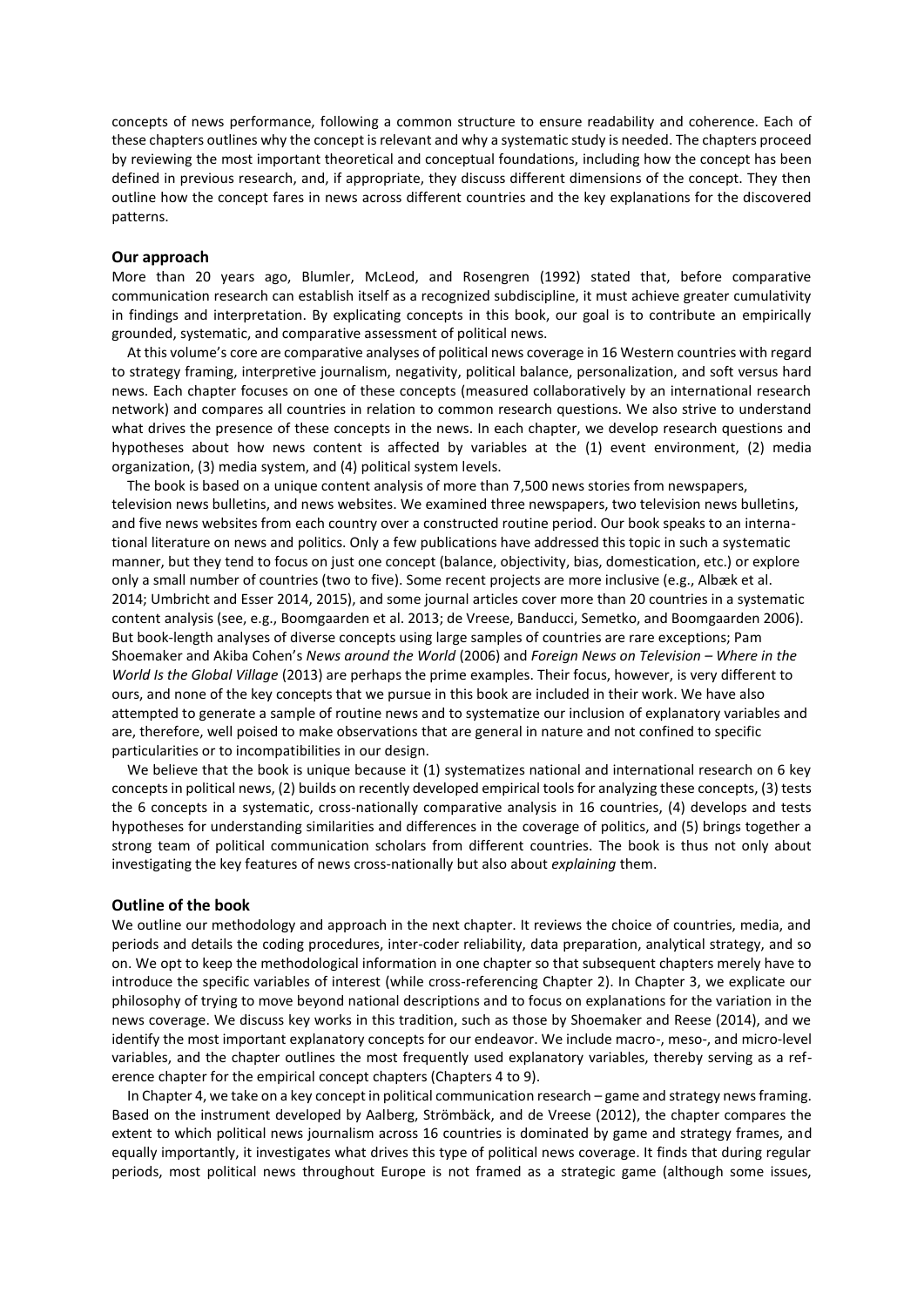concepts of news performance, following a common structure to ensure readability and coherence. Each of these chapters outlines why the concept is relevant and why a systematic study is needed. The chapters proceed by reviewing the most important theoretical and conceptual foundations, including how the concept has been defined in previous research, and, if appropriate, they discuss different dimensions of the concept. They then outline how the concept fares in news across different countries and the key explanations for the discovered patterns.

#### **Our approach**

More than 20 years ago, Blumler, McLeod, and Rosengren (1992) stated that, before comparative communication research can establish itself as a recognized subdiscipline, it must achieve greater cumulativity in findings and interpretation. By explicating concepts in this book, our goal is to contribute an empirically grounded, systematic, and comparative assessment of political news.

At this volume's core are comparative analyses of political news coverage in 16 Western countries with regard to strategy framing, interpretive journalism, negativity, political balance, personalization, and soft versus hard news. Each chapter focuses on one of these concepts (measured collaboratively by an international research network) and compares all countries in relation to common research questions. We also strive to understand what drives the presence of these concepts in the news. In each chapter, we develop research questions and hypotheses about how news content is affected by variables at the (1) event environment, (2) media organization, (3) media system, and (4) political system levels.

The book is based on a unique content analysis of more than 7,500 news stories from newspapers, television news bulletins, and news websites. We examined three newspapers, two television news bulletins, and five news websites from each country over a constructed routine period. Our book speaks to an international literature on news and politics. Only a few publications have addressed this topic in such a systematic manner, but they tend to focus on just one concept (balance, objectivity, bias, domestication, etc.) or explore only a small number of countries (two to five). Some recent projects are more inclusive (e.g., Albæk et al. 2014; Umbricht and Esser 2014, 2015), and some journal articles cover more than 20 countries in a systematic content analysis (see, e.g., Boomgaarden et al. 2013; de Vreese, Banducci, Semetko, and Boomgaarden 2006). But book-length analyses of diverse concepts using large samples of countries are rare exceptions; Pam Shoemaker and Akiba Cohen's *News around the World* (2006) and *Foreign News on Television – Where in the World Is the Global Village* (2013) are perhaps the prime examples. Their focus, however, is very different to ours, and none of the key concepts that we pursue in this book are included in their work. We have also attempted to generate a sample of routine news and to systematize our inclusion of explanatory variables and are, therefore, well poised to make observations that are general in nature and not confined to specific particularities or to incompatibilities in our design.

We believe that the book is unique because it (1) systematizes national and international research on 6 key concepts in political news, (2) builds on recently developed empirical tools for analyzing these concepts, (3) tests the 6 concepts in a systematic, cross-nationally comparative analysis in 16 countries, (4) develops and tests hypotheses for understanding similarities and differences in the coverage of politics, and (5) brings together a strong team of political communication scholars from different countries. The book is thus not only about investigating the key features of news cross-nationally but also about *explaining* them.

#### **Outline of the book**

We outline our methodology and approach in the next chapter. It reviews the choice of countries, media, and periods and details the coding procedures, inter-coder reliability, data preparation, analytical strategy, and so on. We opt to keep the methodological information in one chapter so that subsequent chapters merely have to introduce the specific variables of interest (while cross-referencing Chapter 2). In Chapter 3, we explicate our philosophy of trying to move beyond national descriptions and to focus on explanations for the variation in the news coverage. We discuss key works in this tradition, such as those by Shoemaker and Reese (2014), and we identify the most important explanatory concepts for our endeavor. We include macro-, meso-, and micro-level variables, and the chapter outlines the most frequently used explanatory variables, thereby serving as a reference chapter for the empirical concept chapters (Chapters 4 to 9).

In Chapter 4, we take on a key concept in political communication research – game and strategy news framing. Based on the instrument developed by Aalberg, Strömbäck, and de Vreese (2012), the chapter compares the extent to which political news journalism across 16 countries is dominated by game and strategy frames, and equally importantly, it investigates what drives this type of political news coverage. It finds that during regular periods, most political news throughout Europe is not framed as a strategic game (although some issues,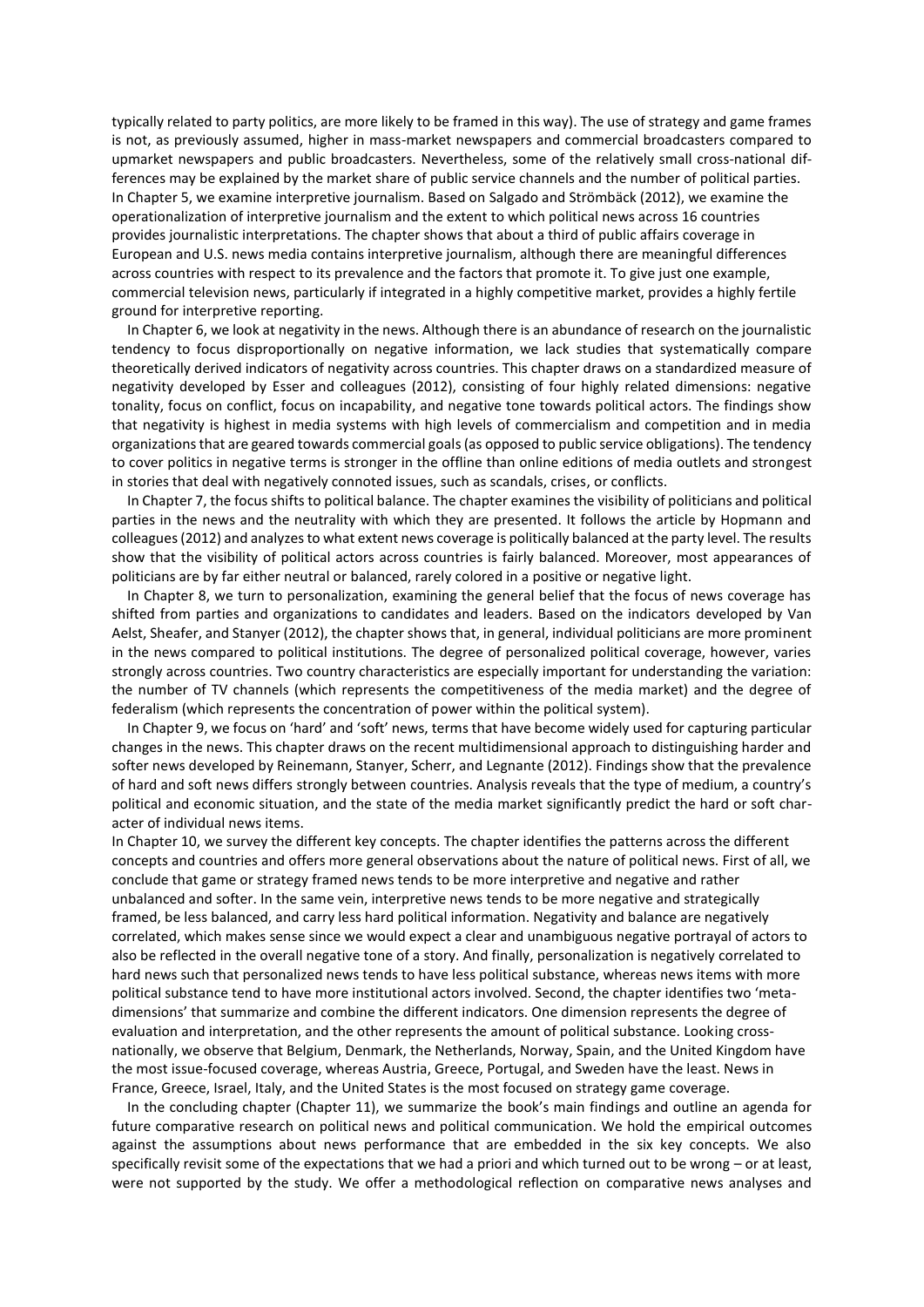typically related to party politics, are more likely to be framed in this way). The use of strategy and game frames is not, as previously assumed, higher in mass-market newspapers and commercial broadcasters compared to upmarket newspapers and public broadcasters. Nevertheless, some of the relatively small cross-national differences may be explained by the market share of public service channels and the number of political parties. In Chapter 5, we examine interpretive journalism. Based on Salgado and Strömbäck (2012), we examine the operationalization of interpretive journalism and the extent to which political news across 16 countries provides journalistic interpretations. The chapter shows that about a third of public affairs coverage in European and U.S. news media contains interpretive journalism, although there are meaningful differences across countries with respect to its prevalence and the factors that promote it. To give just one example, commercial television news, particularly if integrated in a highly competitive market, provides a highly fertile ground for interpretive reporting.

In Chapter 6, we look at negativity in the news. Although there is an abundance of research on the journalistic tendency to focus disproportionally on negative information, we lack studies that systematically compare theoretically derived indicators of negativity across countries. This chapter draws on a standardized measure of negativity developed by Esser and colleagues (2012), consisting of four highly related dimensions: negative tonality, focus on conflict, focus on incapability, and negative tone towards political actors. The findings show that negativity is highest in media systems with high levels of commercialism and competition and in media organizations that are geared towards commercial goals (as opposed to public service obligations). The tendency to cover politics in negative terms is stronger in the offline than online editions of media outlets and strongest in stories that deal with negatively connoted issues, such as scandals, crises, or conflicts.

In Chapter 7, the focus shifts to political balance. The chapter examines the visibility of politicians and political parties in the news and the neutrality with which they are presented. It follows the article by Hopmann and colleagues (2012) and analyzes to what extent news coverage is politically balanced at the party level. The results show that the visibility of political actors across countries is fairly balanced. Moreover, most appearances of politicians are by far either neutral or balanced, rarely colored in a positive or negative light.

In Chapter 8, we turn to personalization, examining the general belief that the focus of news coverage has shifted from parties and organizations to candidates and leaders. Based on the indicators developed by Van Aelst, Sheafer, and Stanyer (2012), the chapter shows that, in general, individual politicians are more prominent in the news compared to political institutions. The degree of personalized political coverage, however, varies strongly across countries. Two country characteristics are especially important for understanding the variation: the number of TV channels (which represents the competitiveness of the media market) and the degree of federalism (which represents the concentration of power within the political system).

In Chapter 9, we focus on 'hard' and 'soft' news, terms that have become widely used for capturing particular changes in the news. This chapter draws on the recent multidimensional approach to distinguishing harder and softer news developed by Reinemann, Stanyer, Scherr, and Legnante (2012). Findings show that the prevalence of hard and soft news differs strongly between countries. Analysis reveals that the type of medium, a country's political and economic situation, and the state of the media market significantly predict the hard or soft character of individual news items.

In Chapter 10, we survey the different key concepts. The chapter identifies the patterns across the different concepts and countries and offers more general observations about the nature of political news. First of all, we conclude that game or strategy framed news tends to be more interpretive and negative and rather unbalanced and softer. In the same vein, interpretive news tends to be more negative and strategically framed, be less balanced, and carry less hard political information. Negativity and balance are negatively correlated, which makes sense since we would expect a clear and unambiguous negative portrayal of actors to also be reflected in the overall negative tone of a story. And finally, personalization is negatively correlated to hard news such that personalized news tends to have less political substance, whereas news items with more political substance tend to have more institutional actors involved. Second, the chapter identifies two 'metadimensions' that summarize and combine the different indicators. One dimension represents the degree of evaluation and interpretation, and the other represents the amount of political substance. Looking crossnationally, we observe that Belgium, Denmark, the Netherlands, Norway, Spain, and the United Kingdom have the most issue-focused coverage, whereas Austria, Greece, Portugal, and Sweden have the least. News in France, Greece, Israel, Italy, and the United States is the most focused on strategy game coverage.

In the concluding chapter (Chapter 11), we summarize the book's main findings and outline an agenda for future comparative research on political news and political communication. We hold the empirical outcomes against the assumptions about news performance that are embedded in the six key concepts. We also specifically revisit some of the expectations that we had a priori and which turned out to be wrong – or at least, were not supported by the study. We offer a methodological reflection on comparative news analyses and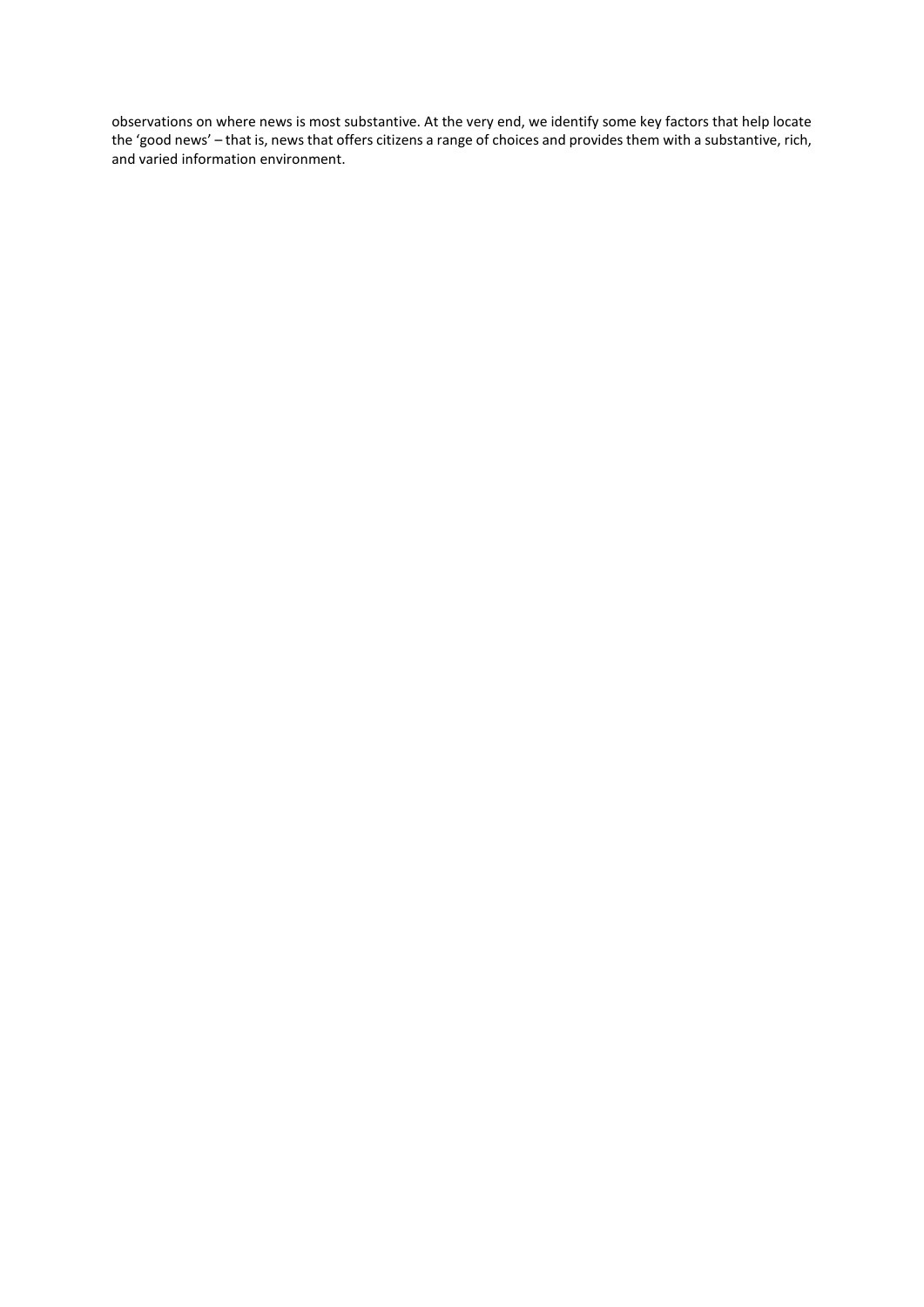observations on where news is most substantive. At the very end, we identify some key factors that help locate the 'good news' – that is, news that offers citizens a range of choices and provides them with a substantive, rich, and varied information environment.